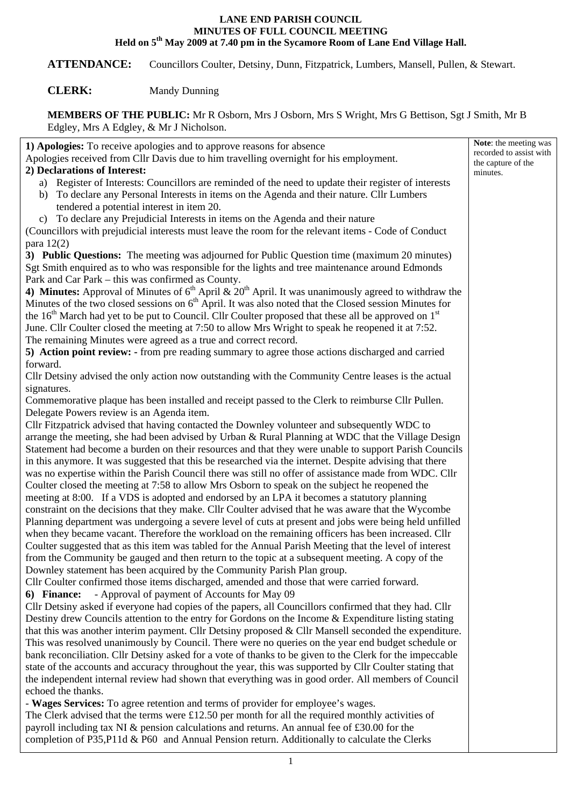## **LANE END PARISH COUNCIL MINUTES OF FULL COUNCIL MEETING Held on 5th May 2009 at 7.40 pm in the Sycamore Room of Lane End Village Hall.**

**ATTENDANCE:** Councillors Coulter, Detsiny, Dunn, Fitzpatrick, Lumbers, Mansell, Pullen, & Stewart.

## **CLERK:** Mandy Dunning

**MEMBERS OF THE PUBLIC:** Mr R Osborn, Mrs J Osborn, Mrs S Wright, Mrs G Bettison, Sgt J Smith, Mr B Edgley, Mrs A Edgley, & Mr J Nicholson.

| 1) Apologies: To receive apologies and to approve reasons for absence                                              | Note: the meeting was                         |
|--------------------------------------------------------------------------------------------------------------------|-----------------------------------------------|
| Apologies received from Cllr Davis due to him travelling overnight for his employment.                             | recorded to assist with<br>the capture of the |
| 2) Declarations of Interest:                                                                                       | minutes.                                      |
| a) Register of Interests: Councillors are reminded of the need to update their register of interests               |                                               |
| To declare any Personal Interests in items on the Agenda and their nature. Cllr Lumbers<br>b)                      |                                               |
| tendered a potential interest in item 20.                                                                          |                                               |
| c) To declare any Prejudicial Interests in items on the Agenda and their nature                                    |                                               |
| (Councillors with prejudicial interests must leave the room for the relevant items - Code of Conduct               |                                               |
| para $12(2)$                                                                                                       |                                               |
| 3) Public Questions: The meeting was adjourned for Public Question time (maximum 20 minutes)                       |                                               |
| Sgt Smith enquired as to who was responsible for the lights and tree maintenance around Edmonds                    |                                               |
| Park and Car Park - this was confirmed as County.                                                                  |                                               |
| 4) Minutes: Approval of Minutes of $6th$ April & 20 <sup>th</sup> April. It was unanimously agreed to withdraw the |                                               |
| Minutes of the two closed sessions on 6 <sup>th</sup> April. It was also noted that the Closed session Minutes for |                                               |
| the $16th$ March had yet to be put to Council. Cllr Coulter proposed that these all be approved on $1st$           |                                               |
| June. Cllr Coulter closed the meeting at 7:50 to allow Mrs Wright to speak he reopened it at 7:52.                 |                                               |
| The remaining Minutes were agreed as a true and correct record.                                                    |                                               |
| 5) Action point review: - from pre reading summary to agree those actions discharged and carried                   |                                               |
| forward.                                                                                                           |                                               |
| Cllr Detsiny advised the only action now outstanding with the Community Centre leases is the actual                |                                               |
| signatures.                                                                                                        |                                               |
| Commemorative plaque has been installed and receipt passed to the Clerk to reimburse Cllr Pullen.                  |                                               |
| Delegate Powers review is an Agenda item.                                                                          |                                               |
| Cllr Fitzpatrick advised that having contacted the Downley volunteer and subsequently WDC to                       |                                               |
| arrange the meeting, she had been advised by Urban & Rural Planning at WDC that the Village Design                 |                                               |
| Statement had become a burden on their resources and that they were unable to support Parish Councils              |                                               |
| in this anymore. It was suggested that this be researched via the internet. Despite advising that there            |                                               |
| was no expertise within the Parish Council there was still no offer of assistance made from WDC. Cllr              |                                               |
| Coulter closed the meeting at 7:58 to allow Mrs Osborn to speak on the subject he reopened the                     |                                               |
| meeting at 8:00. If a VDS is adopted and endorsed by an LPA it becomes a statutory planning                        |                                               |
| constraint on the decisions that they make. Cllr Coulter advised that he was aware that the Wycombe                |                                               |
| Planning department was undergoing a severe level of cuts at present and jobs were being held unfilled             |                                               |
| when they became vacant. Therefore the workload on the remaining officers has been increased. Cllr                 |                                               |
| Coulter suggested that as this item was tabled for the Annual Parish Meeting that the level of interest            |                                               |
| from the Community be gauged and then return to the topic at a subsequent meeting. A copy of the                   |                                               |
| Downley statement has been acquired by the Community Parish Plan group.                                            |                                               |
| Cllr Coulter confirmed those items discharged, amended and those that were carried forward.                        |                                               |
| - Approval of payment of Accounts for May 09<br>6) Finance:                                                        |                                               |
| Cllr Detsiny asked if everyone had copies of the papers, all Councillors confirmed that they had. Cllr             |                                               |
| Destiny drew Councils attention to the entry for Gordons on the Income & Expenditure listing stating               |                                               |
| that this was another interim payment. Cllr Detsiny proposed $&$ Cllr Mansell seconded the expenditure.            |                                               |
| This was resolved unanimously by Council. There were no queries on the year end budget schedule or                 |                                               |
| bank reconciliation. Cllr Detsiny asked for a vote of thanks to be given to the Clerk for the impeccable           |                                               |
| state of the accounts and accuracy throughout the year, this was supported by Cllr Coulter stating that            |                                               |
| the independent internal review had shown that everything was in good order. All members of Council                |                                               |
| echoed the thanks.                                                                                                 |                                               |
| - Wages Services: To agree retention and terms of provider for employee's wages.                                   |                                               |
| The Clerk advised that the terms were £12.50 per month for all the required monthly activities of                  |                                               |
| payroll including tax NI $\&$ pension calculations and returns. An annual fee of £30.00 for the                    |                                               |

completion of P35,P11d & P60 and Annual Pension return. Additionally to calculate the Clerks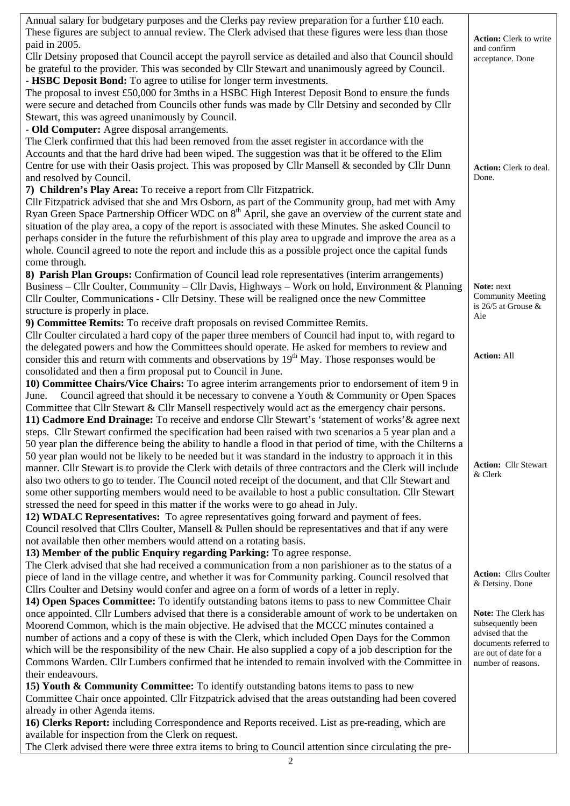| Annual salary for budgetary purposes and the Clerks pay review preparation for a further £10 each.<br>These figures are subject to annual review. The Clerk advised that these figures were less than those |                                                    |
|-------------------------------------------------------------------------------------------------------------------------------------------------------------------------------------------------------------|----------------------------------------------------|
| paid in 2005.                                                                                                                                                                                               | <b>Action:</b> Clerk to write<br>and confirm       |
| Cllr Detsiny proposed that Council accept the payroll service as detailed and also that Council should                                                                                                      | acceptance. Done                                   |
| be grateful to the provider. This was seconded by Cllr Stewart and unanimously agreed by Council.                                                                                                           |                                                    |
| - HSBC Deposit Bond: To agree to utilise for longer term investments.                                                                                                                                       |                                                    |
| The proposal to invest £50,000 for 3mths in a HSBC High Interest Deposit Bond to ensure the funds                                                                                                           |                                                    |
| were secure and detached from Councils other funds was made by Cllr Detsiny and seconded by Cllr                                                                                                            |                                                    |
| Stewart, this was agreed unanimously by Council.                                                                                                                                                            |                                                    |
| - Old Computer: Agree disposal arrangements.                                                                                                                                                                |                                                    |
| The Clerk confirmed that this had been removed from the asset register in accordance with the<br>Accounts and that the hard drive had been wiped. The suggestion was that it be offered to the Elim         |                                                    |
| Centre for use with their Oasis project. This was proposed by Cllr Mansell & seconded by Cllr Dunn                                                                                                          |                                                    |
| and resolved by Council.                                                                                                                                                                                    | Action: Clerk to deal.<br>Done.                    |
| 7) Children's Play Area: To receive a report from Cllr Fitzpatrick.                                                                                                                                         |                                                    |
| Cllr Fitzpatrick advised that she and Mrs Osborn, as part of the Community group, had met with Amy                                                                                                          |                                                    |
| Ryan Green Space Partnership Officer WDC on 8 <sup>th</sup> April, she gave an overview of the current state and                                                                                            |                                                    |
| situation of the play area, a copy of the report is associated with these Minutes. She asked Council to                                                                                                     |                                                    |
| perhaps consider in the future the refurbishment of this play area to upgrade and improve the area as a                                                                                                     |                                                    |
| whole. Council agreed to note the report and include this as a possible project once the capital funds                                                                                                      |                                                    |
| come through.                                                                                                                                                                                               |                                                    |
| 8) Parish Plan Groups: Confirmation of Council lead role representatives (interim arrangements)                                                                                                             |                                                    |
| Business – Cllr Coulter, Community – Cllr Davis, Highways – Work on hold, Environment & Planning                                                                                                            | Note: next                                         |
| Cllr Coulter, Communications - Cllr Detsiny. These will be realigned once the new Committee                                                                                                                 | <b>Community Meeting</b><br>is 26/5 at Grouse $\&$ |
| structure is properly in place.                                                                                                                                                                             | Ale                                                |
| 9) Committee Remits: To receive draft proposals on revised Committee Remits.                                                                                                                                |                                                    |
| Cllr Coulter circulated a hard copy of the paper three members of Council had input to, with regard to                                                                                                      |                                                    |
| the delegated powers and how the Committees should operate. He asked for members to review and<br>consider this and return with comments and observations by $19th$ May. Those responses would be           | <b>Action: All</b>                                 |
| consolidated and then a firm proposal put to Council in June.                                                                                                                                               |                                                    |
| 10) Committee Chairs/Vice Chairs: To agree interim arrangements prior to endorsement of item 9 in                                                                                                           |                                                    |
| Council agreed that should it be necessary to convene a Youth & Community or Open Spaces<br>June.                                                                                                           |                                                    |
| Committee that Cllr Stewart & Cllr Mansell respectively would act as the emergency chair persons.                                                                                                           |                                                    |
|                                                                                                                                                                                                             |                                                    |
|                                                                                                                                                                                                             |                                                    |
| 11) Cadmore End Drainage: To receive and endorse Cllr Stewart's 'statement of works' & agree next<br>steps. Cllr Stewart confirmed the specification had been raised with two scenarios a 5 year plan and a |                                                    |
| 50 year plan the difference being the ability to handle a flood in that period of time, with the Chilterns a                                                                                                |                                                    |
| 50 year plan would not be likely to be needed but it was standard in the industry to approach it in this                                                                                                    |                                                    |
| manner. Cllr Stewart is to provide the Clerk with details of three contractors and the Clerk will include                                                                                                   | <b>Action:</b> Cllr Stewart                        |
| also two others to go to tender. The Council noted receipt of the document, and that Cllr Stewart and                                                                                                       | & Clerk                                            |
| some other supporting members would need to be available to host a public consultation. Cllr Stewart                                                                                                        |                                                    |
| stressed the need for speed in this matter if the works were to go ahead in July.                                                                                                                           |                                                    |
| 12) WDALC Representatives: To agree representatives going forward and payment of fees.                                                                                                                      |                                                    |
| Council resolved that Cllrs Coulter, Mansell & Pullen should be representatives and that if any were                                                                                                        |                                                    |
| not available then other members would attend on a rotating basis.                                                                                                                                          |                                                    |
| 13) Member of the public Enquiry regarding Parking: To agree response.                                                                                                                                      |                                                    |
| The Clerk advised that she had received a communication from a non parishioner as to the status of a                                                                                                        | <b>Action:</b> Cllrs Coulter                       |
| piece of land in the village centre, and whether it was for Community parking. Council resolved that                                                                                                        | & Detsiny. Done                                    |
| Cllrs Coulter and Detsiny would confer and agree on a form of words of a letter in reply.                                                                                                                   |                                                    |
| 14) Open Spaces Committee: To identify outstanding batons items to pass to new Committee Chair<br>once appointed. Cllr Lumbers advised that there is a considerable amount of work to be undertaken on      | Note: The Clerk has                                |
| Moorend Common, which is the main objective. He advised that the MCCC minutes contained a                                                                                                                   | subsequently been                                  |
| number of actions and a copy of these is with the Clerk, which included Open Days for the Common                                                                                                            | advised that the                                   |
| which will be the responsibility of the new Chair. He also supplied a copy of a job description for the                                                                                                     | documents referred to<br>are out of date for a     |
| Commons Warden. Cllr Lumbers confirmed that he intended to remain involved with the Committee in                                                                                                            | number of reasons.                                 |
| their endeavours.                                                                                                                                                                                           |                                                    |
| 15) Youth & Community Committee: To identify outstanding batons items to pass to new                                                                                                                        |                                                    |
| Committee Chair once appointed. Cllr Fitzpatrick advised that the areas outstanding had been covered                                                                                                        |                                                    |
| already in other Agenda items.<br>16) Clerks Report: including Correspondence and Reports received. List as pre-reading, which are                                                                          |                                                    |

The Clerk advised there were three extra items to bring to Council attention since circulating the pre-